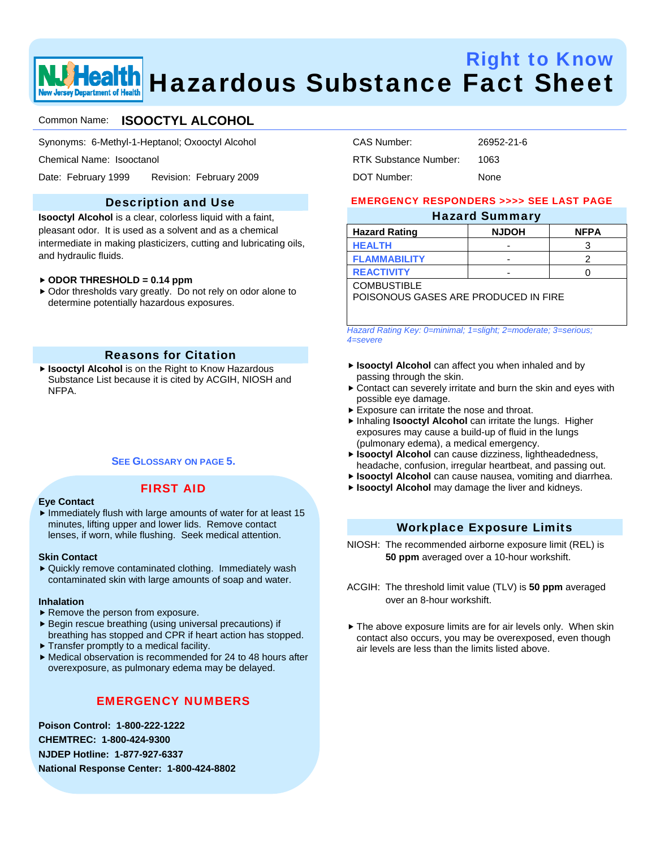

# Right to Know **Health** Hazardous Substance Fact Sheet

# Common Name: **ISOOCTYL ALCOHOL**

Synonyms: 6-Methyl-1-Heptanol; Oxooctyl Alcohol

Chemical Name: Isooctanol

Date: February 1999 Revision: February 2009

# Description and Use

**Isooctyl Alcohol** is a clear, colorless liquid with a faint, pleasant odor. It is used as a solvent and as a chemical intermediate in making plasticizers, cutting and lubricating oils, and hydraulic fluids.

### f **ODOR THRESHOLD = 0.14 ppm**

▶ Odor thresholds vary greatly. Do not rely on odor alone to determine potentially hazardous exposures.

# Reasons for Citation

**Exercity Alcohol** is on the Right to Know Hazardous Substance List because it is cited by ACGIH, NIOSH and NFPA.

# **SEE GLOSSARY ON PAGE 5.**

# FIRST AID

#### **Eye Contact**

 $\blacktriangleright$  Immediately flush with large amounts of water for at least 15 minutes, lifting upper and lower lids. Remove contact lenses, if worn, while flushing. Seek medical attention.

#### **Skin Contact**

 $\blacktriangleright$  Quickly remove contaminated clothing. Immediately wash contaminated skin with large amounts of soap and water.

#### **Inhalation**

- $\blacktriangleright$  Remove the person from exposure.
- $\blacktriangleright$  Begin rescue breathing (using universal precautions) if breathing has stopped and CPR if heart action has stopped.
- $\blacktriangleright$  Transfer promptly to a medical facility.
- $\blacktriangleright$  Medical observation is recommended for 24 to 48 hours after overexposure, as pulmonary edema may be delayed.

# EMERGENCY NUMBERS

**Poison Control: 1-800-222-1222 CHEMTREC: 1-800-424-9300 NJDEP Hotline: 1-877-927-6337 National Response Center: 1-800-424-8802** 

| CAS Number:           | 26952-21-6 |
|-----------------------|------------|
| RTK Substance Number: | 1063       |
| DOT Number:           | None       |

### EMERGENCY RESPONDERS >>>> SEE LAST PAGE

### Hazard Summary

| <b>NJDOH</b> | <b>NFPA</b> |
|--------------|-------------|
| -            |             |
| -            |             |
| -            |             |
|              |             |

COMBUSTIBLE

POISONOUS GASES ARE PRODUCED IN FIRE

*Hazard Rating Key: 0=minimal; 1=slight; 2=moderate; 3=serious; 4=severe*

- **Fisooctyl Alcohol** can affect you when inhaled and by passing through the skin.
- $\triangleright$  Contact can severely irritate and burn the skin and eyes with possible eye damage.
- $\blacktriangleright$  Exposure can irritate the nose and throat.
- **F** Inhaling **Isooctyl Alcohol** can irritate the lungs. Higher exposures may cause a build-up of fluid in the lungs (pulmonary edema), a medical emergency.
- **Fisooctyl Alcohol** can cause dizziness, lightheadedness, headache, confusion, irregular heartbeat, and passing out.
- **Exercityl Alcohol** can cause nausea, vomiting and diarrhea.
- **Fisooctyl Alcohol** may damage the liver and kidneys.

# Workplace Exposure Limits

- NIOSH: The recommended airborne exposure limit (REL) is **50 ppm** averaged over a 10-hour workshift.
- ACGIH: The threshold limit value (TLV) is **50 ppm** averaged over an 8-hour workshift.
- $\blacktriangleright$  The above exposure limits are for air levels only. When skin contact also occurs, you may be overexposed, even though air levels are less than the limits listed above.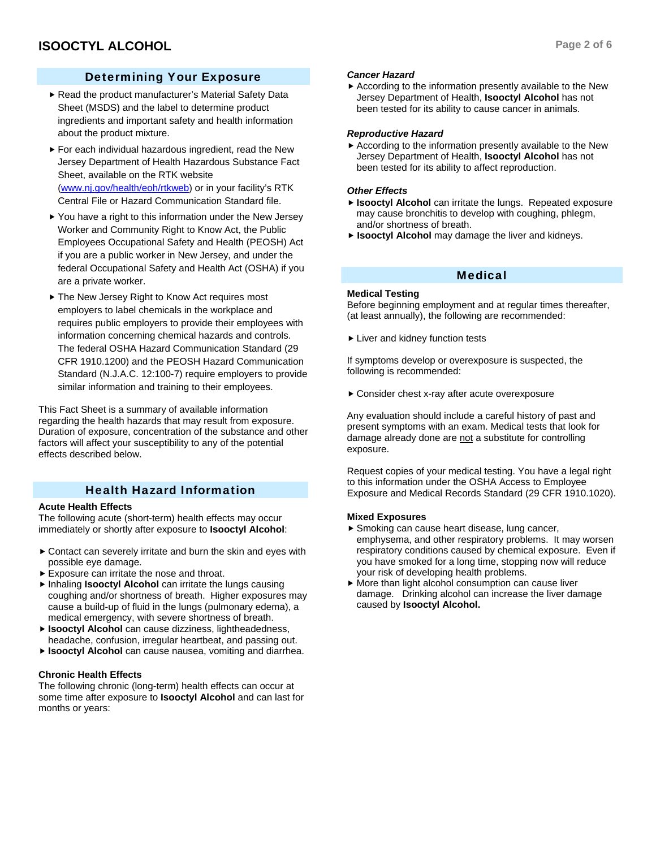# Determining Your Exposure

- Read the product manufacturer's Material Safety Data Sheet (MSDS) and the label to determine product ingredients and important safety and health information about the product mixture.
- $\blacktriangleright$  For each individual hazardous ingredient, read the New Jersey Department of Health Hazardous Substance Fact Sheet, available on the RTK website (www.nj.gov/health/eoh/rtkweb) or in your facility's RTK Central File or Hazard Communication Standard file.
- $\blacktriangleright$  You have a right to this information under the New Jersey Worker and Community Right to Know Act, the Public Employees Occupational Safety and Health (PEOSH) Act if you are a public worker in New Jersey, and under the federal Occupational Safety and Health Act (OSHA) if you are a private worker.
- ▶ The New Jersey Right to Know Act requires most employers to label chemicals in the workplace and requires public employers to provide their employees with information concerning chemical hazards and controls. The federal OSHA Hazard Communication Standard (29 CFR 1910.1200) and the PEOSH Hazard Communication Standard (N.J.A.C. 12:100-7) require employers to provide similar information and training to their employees.

This Fact Sheet is a summary of available information regarding the health hazards that may result from exposure. Duration of exposure, concentration of the substance and other factors will affect your susceptibility to any of the potential effects described below.

# Health Hazard Information

#### **Acute Health Effects**

The following acute (short-term) health effects may occur immediately or shortly after exposure to **Isooctyl Alcohol**:

- $\triangleright$  Contact can severely irritate and burn the skin and eyes with possible eye damage.
- $\blacktriangleright$  Exposure can irritate the nose and throat.
- **F** Inhaling **Isooctyl Alcohol** can irritate the lungs causing coughing and/or shortness of breath. Higher exposures may cause a build-up of fluid in the lungs (pulmonary edema), a medical emergency, with severe shortness of breath.
- **Fisooctyl Alcohol** can cause dizziness, lightheadedness, headache, confusion, irregular heartbeat, and passing out.
- **Fisooctyl Alcohol** can cause nausea, vomiting and diarrhea.

#### **Chronic Health Effects**

The following chronic (long-term) health effects can occur at some time after exposure to **Isooctyl Alcohol** and can last for months or years:

#### *Cancer Hazard*

 $\blacktriangleright$  According to the information presently available to the New Jersey Department of Health, **Isooctyl Alcohol** has not been tested for its ability to cause cancer in animals.

#### *Reproductive Hazard*

 $\blacktriangleright$  According to the information presently available to the New Jersey Department of Health, **Isooctyl Alcohol** has not been tested for its ability to affect reproduction.

#### *Other Effects*

- **Fisooctyl Alcohol** can irritate the lungs. Repeated exposure may cause bronchitis to develop with coughing, phlegm, and/or shortness of breath.
- **Fisooctyl Alcohol** may damage the liver and kidneys.

### Medical

#### **Medical Testing**

Before beginning employment and at regular times thereafter, (at least annually), the following are recommended:

 $\blacktriangleright$  Liver and kidney function tests

If symptoms develop or overexposure is suspected, the following is recommended:

 $\triangleright$  Consider chest x-ray after acute overexposure

Any evaluation should include a careful history of past and present symptoms with an exam. Medical tests that look for damage already done are not a substitute for controlling exposure.

Request copies of your medical testing. You have a legal right to this information under the OSHA Access to Employee Exposure and Medical Records Standard (29 CFR 1910.1020).

#### **Mixed Exposures**

- $\blacktriangleright$  Smoking can cause heart disease, lung cancer, emphysema, and other respiratory problems. It may worsen respiratory conditions caused by chemical exposure. Even if you have smoked for a long time, stopping now will reduce your risk of developing health problems.
- $\blacktriangleright$  More than light alcohol consumption can cause liver damage. Drinking alcohol can increase the liver damage caused by **Isooctyl Alcohol.**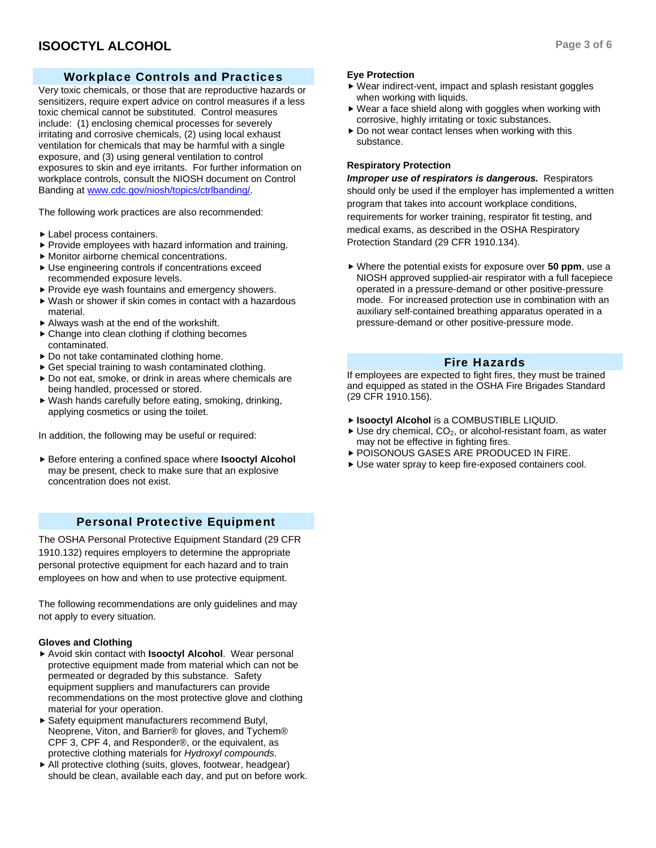# Workplace Controls and Practices

Very toxic chemicals, or those that are reproductive hazards or sensitizers, require expert advice on control measures if a less toxic chemical cannot be substituted. Control measures include: (1) enclosing chemical processes for severely irritating and corrosive chemicals, (2) using local exhaust ventilation for chemicals that may be harmful with a single exposure, and (3) using general ventilation to control exposures to skin and eye irritants. For further information on workplace controls, consult the NIOSH document on Control Banding at www.cdc.gov/niosh/topics/ctrlbanding/.

The following work practices are also recommended:

- $\blacktriangleright$  Label process containers.
- $\blacktriangleright$  Provide employees with hazard information and training.
- $\blacktriangleright$  Monitor airborne chemical concentrations.
- $\blacktriangleright$  Use engineering controls if concentrations exceed recommended exposure levels.
- $\blacktriangleright$  Provide eye wash fountains and emergency showers.
- $\blacktriangleright$  Wash or shower if skin comes in contact with a hazardous material.
- $\blacktriangleright$  Always wash at the end of the workshift.
- $\triangleright$  Change into clean clothing if clothing becomes contaminated.
- $\triangleright$  Do not take contaminated clothing home.
- $\triangleright$  Get special training to wash contaminated clothing.
- $\triangleright$  Do not eat, smoke, or drink in areas where chemicals are being handled, processed or stored.
- $\blacktriangleright$  Wash hands carefully before eating, smoking, drinking, applying cosmetics or using the toilet.

In addition, the following may be useful or required:

f Before entering a confined space where **Isooctyl Alcohol** may be present, check to make sure that an explosive concentration does not exist.

# Personal Protective Equipment

The OSHA Personal Protective Equipment Standard (29 CFR 1910.132) requires employers to determine the appropriate personal protective equipment for each hazard and to train employees on how and when to use protective equipment.

The following recommendations are only guidelines and may not apply to every situation.

#### **Gloves and Clothing**

- ▶ Avoid skin contact with **Isooctyl Alcohol**. Wear personal protective equipment made from material which can not be permeated or degraded by this substance. Safety equipment suppliers and manufacturers can provide recommendations on the most protective glove and clothing material for your operation.
- $\triangleright$  Safety equipment manufacturers recommend Butyl, Neoprene, Viton, and Barrier® for gloves, and Tychem® CPF 3, CPF 4, and Responder®, or the equivalent, as protective clothing materials for *Hydroxyl compounds*.
- $\blacktriangleright$  All protective clothing (suits, gloves, footwear, headgear) should be clean, available each day, and put on before work.

#### **Eye Protection**

- $\blacktriangleright$  Wear indirect-vent, impact and splash resistant goggles when working with liquids.
- $\blacktriangleright$  Wear a face shield along with goggles when working with corrosive, highly irritating or toxic substances.
- $\triangleright$  Do not wear contact lenses when working with this substance.

#### **Respiratory Protection**

*Improper use of respirators is dangerous.* Respirators should only be used if the employer has implemented a written program that takes into account workplace conditions, requirements for worker training, respirator fit testing, and medical exams, as described in the OSHA Respiratory Protection Standard (29 CFR 1910.134).

 $\triangleright$  Where the potential exists for exposure over **50 ppm**, use a NIOSH approved supplied-air respirator with a full facepiece operated in a pressure-demand or other positive-pressure mode. For increased protection use in combination with an auxiliary self-contained breathing apparatus operated in a pressure-demand or other positive-pressure mode.

# Fire Hazards

If employees are expected to fight fires, they must be trained and equipped as stated in the OSHA Fire Brigades Standard (29 CFR 1910.156).

- **Fisooctyl Alcohol** is a COMBUSTIBLE LIQUID.
- $\blacktriangleright$  Use dry chemical, CO<sub>2</sub>, or alcohol-resistant foam, as water may not be effective in fighting fires.
- **POISONOUS GASES ARE PRODUCED IN FIRE.**
- $\blacktriangleright$  Use water spray to keep fire-exposed containers cool.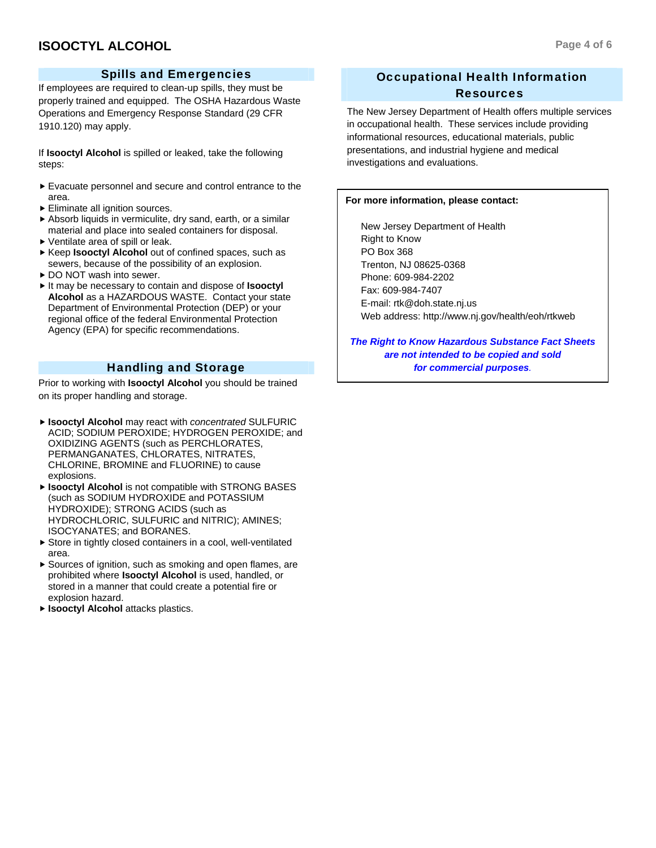# **ISOOCTYL ALCOHOL** Page 4 of 6

# Spills and Emergencies

If employees are required to clean-up spills, they must be properly trained and equipped. The OSHA Hazardous Waste Operations and Emergency Response Standard (29 CFR 1910.120) may apply.

If **Isooctyl Alcohol** is spilled or leaked, take the following steps:

- $\blacktriangleright$  Evacuate personnel and secure and control entrance to the area.
- $\blacktriangleright$  Eliminate all ignition sources.
- $\blacktriangleright$  Absorb liquids in vermiculite, dry sand, earth, or a similar material and place into sealed containers for disposal.
- $\blacktriangleright$  Ventilate area of spill or leak.
- Keep **Isooctyl Alcohol** out of confined spaces, such as sewers, because of the possibility of an explosion.
- ▶ DO NOT wash into sewer.
- ► It may be necessary to contain and dispose of **Isooctyl Alcohol** as a HAZARDOUS WASTE. Contact your state Department of Environmental Protection (DEP) or your regional office of the federal Environmental Protection Agency (EPA) for specific recommendations.

# Handling and Storage

Prior to working with **Isooctyl Alcohol** you should be trained on its proper handling and storage.

- f **Isooctyl Alcohol** may react with *concentrated* SULFURIC ACID; SODIUM PEROXIDE; HYDROGEN PEROXIDE; and OXIDIZING AGENTS (such as PERCHLORATES, PERMANGANATES, CHLORATES, NITRATES, CHLORINE, BROMINE and FLUORINE) to cause explosions.
- **Fisooctyl Alcohol** is not compatible with STRONG BASES (such as SODIUM HYDROXIDE and POTASSIUM HYDROXIDE); STRONG ACIDS (such as HYDROCHLORIC, SULFURIC and NITRIC); AMINES; ISOCYANATES; and BORANES.
- Store in tightly closed containers in a cool, well-ventilated area.
- $\blacktriangleright$  Sources of ignition, such as smoking and open flames, are prohibited where **Isooctyl Alcohol** is used, handled, or stored in a manner that could create a potential fire or explosion hazard.
- **Fisooctyl Alcohol** attacks plastics.

# Occupational Health Information Resources

The New Jersey Department of Health offers multiple services in occupational health. These services include providing informational resources, educational materials, public presentations, and industrial hygiene and medical investigations and evaluations.

### **For more information, please contact:**

 New Jersey Department of Health Right to Know PO Box 368 Trenton, NJ 08625-0368 Phone: 609-984-2202 Fax: 609-984-7407 E-mail: rtk@doh.state.nj.us Web address: http://www.nj.gov/health/eoh/rtkweb

*The Right to Know Hazardous Substance Fact Sheets are not intended to be copied and sold for commercial purposes.*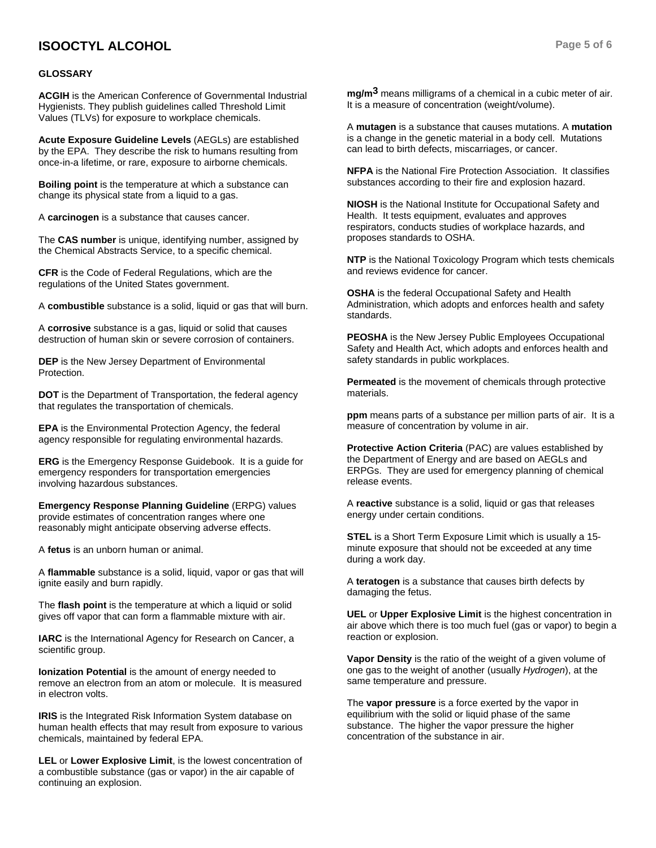# **ISOOCTYL ALCOHOL Page 5 of 6**

#### **GLOSSARY**

**ACGIH** is the American Conference of Governmental Industrial Hygienists. They publish guidelines called Threshold Limit Values (TLVs) for exposure to workplace chemicals.

**Acute Exposure Guideline Levels** (AEGLs) are established by the EPA. They describe the risk to humans resulting from once-in-a lifetime, or rare, exposure to airborne chemicals.

**Boiling point** is the temperature at which a substance can change its physical state from a liquid to a gas.

A **carcinogen** is a substance that causes cancer.

The **CAS number** is unique, identifying number, assigned by the Chemical Abstracts Service, to a specific chemical.

**CFR** is the Code of Federal Regulations, which are the regulations of the United States government.

A **combustible** substance is a solid, liquid or gas that will burn.

A **corrosive** substance is a gas, liquid or solid that causes destruction of human skin or severe corrosion of containers.

**DEP** is the New Jersey Department of Environmental Protection.

**DOT** is the Department of Transportation, the federal agency that regulates the transportation of chemicals.

**EPA** is the Environmental Protection Agency, the federal agency responsible for regulating environmental hazards.

**ERG** is the Emergency Response Guidebook. It is a guide for emergency responders for transportation emergencies involving hazardous substances.

**Emergency Response Planning Guideline** (ERPG) values provide estimates of concentration ranges where one reasonably might anticipate observing adverse effects.

A **fetus** is an unborn human or animal.

A **flammable** substance is a solid, liquid, vapor or gas that will ignite easily and burn rapidly.

The **flash point** is the temperature at which a liquid or solid gives off vapor that can form a flammable mixture with air.

**IARC** is the International Agency for Research on Cancer, a scientific group.

**Ionization Potential** is the amount of energy needed to remove an electron from an atom or molecule. It is measured in electron volts.

**IRIS** is the Integrated Risk Information System database on human health effects that may result from exposure to various chemicals, maintained by federal EPA.

**LEL** or **Lower Explosive Limit**, is the lowest concentration of a combustible substance (gas or vapor) in the air capable of continuing an explosion.

**mg/m3** means milligrams of a chemical in a cubic meter of air. It is a measure of concentration (weight/volume).

A **mutagen** is a substance that causes mutations. A **mutation** is a change in the genetic material in a body cell. Mutations can lead to birth defects, miscarriages, or cancer.

**NFPA** is the National Fire Protection Association. It classifies substances according to their fire and explosion hazard.

**NIOSH** is the National Institute for Occupational Safety and Health. It tests equipment, evaluates and approves respirators, conducts studies of workplace hazards, and proposes standards to OSHA.

**NTP** is the National Toxicology Program which tests chemicals and reviews evidence for cancer.

**OSHA** is the federal Occupational Safety and Health Administration, which adopts and enforces health and safety standards.

**PEOSHA** is the New Jersey Public Employees Occupational Safety and Health Act, which adopts and enforces health and safety standards in public workplaces.

**Permeated** is the movement of chemicals through protective materials.

**ppm** means parts of a substance per million parts of air. It is a measure of concentration by volume in air.

**Protective Action Criteria** (PAC) are values established by the Department of Energy and are based on AEGLs and ERPGs. They are used for emergency planning of chemical release events.

A **reactive** substance is a solid, liquid or gas that releases energy under certain conditions.

**STEL** is a Short Term Exposure Limit which is usually a 15 minute exposure that should not be exceeded at any time during a work day.

A **teratogen** is a substance that causes birth defects by damaging the fetus.

**UEL** or **Upper Explosive Limit** is the highest concentration in air above which there is too much fuel (gas or vapor) to begin a reaction or explosion.

**Vapor Density** is the ratio of the weight of a given volume of one gas to the weight of another (usually *Hydrogen*), at the same temperature and pressure.

The **vapor pressure** is a force exerted by the vapor in equilibrium with the solid or liquid phase of the same substance. The higher the vapor pressure the higher concentration of the substance in air.